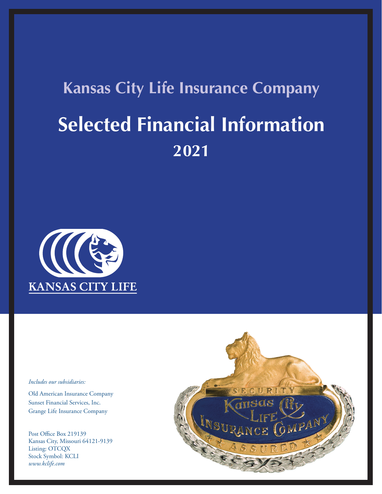## **Kansas City Life Insurance Company Selected Financial Information 2021**



## *Includes our subsidiaries:*

Old American Insurance Company Sunset Financial Services, Inc. Grange Life Insurance Company

Post Office Box 219139 Kansas City, Missouri 64121-9139 Listing: OTCQX Stock Symbol: KCLI *www.kclife.com*

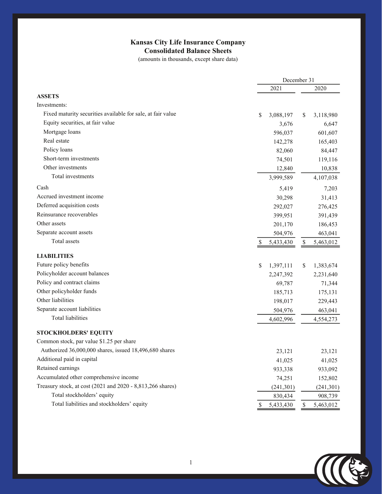## **Kansas City Life Insurance Company Consolidated Balance Sheets**

(amounts in thousands, except share data)

|                                                             | December 31                |                            |
|-------------------------------------------------------------|----------------------------|----------------------------|
|                                                             | 2021                       | 2020                       |
| <b>ASSETS</b>                                               |                            |                            |
| Investments:                                                |                            |                            |
| Fixed maturity securities available for sale, at fair value | \$<br>3,088,197            | 3,118,980<br>S             |
| Equity securities, at fair value                            | 3,676                      | 6,647                      |
| Mortgage loans                                              | 596,037                    | 601,607                    |
| Real estate                                                 | 142,278                    | 165,403                    |
| Policy loans                                                | 82,060                     | 84,447                     |
| Short-term investments                                      | 74,501                     | 119,116                    |
| Other investments                                           | 12,840                     | 10,838                     |
| Total investments                                           | 3,999,589                  | 4,107,038                  |
| Cash                                                        | 5,419                      | 7,203                      |
| Accrued investment income                                   | 30,298                     | 31,413                     |
| Deferred acquisition costs                                  | 292,027                    | 276,425                    |
| Reinsurance recoverables                                    | 399,951                    | 391,439                    |
| Other assets                                                | 201,170                    | 186,453                    |
| Separate account assets                                     | 504,976                    | 463,041                    |
| Total assets                                                | \$<br>5,433,430            | 5,463,012<br>\$            |
| <b>LIABILITIES</b>                                          |                            |                            |
| Future policy benefits                                      | \$<br>1,397,111            | \$<br>1,383,674            |
| Policyholder account balances                               | 2,247,392                  | 2,231,640                  |
| Policy and contract claims                                  | 69,787                     | 71,344                     |
| Other policyholder funds                                    | 185,713                    | 175,131                    |
| Other liabilities                                           | 198,017                    | 229,443                    |
| Separate account liabilities                                | 504,976                    | 463,041                    |
| <b>Total liabilities</b>                                    | 4,602,996                  | 4,554,273                  |
| <b>STOCKHOLDERS' EQUITY</b>                                 |                            |                            |
| Common stock, par value \$1.25 per share                    |                            |                            |
| Authorized 36,000,000 shares, issued 18,496,680 shares      | 23,121                     | 23,121                     |
| Additional paid in capital                                  | 41,025                     | 41,025                     |
| Retained earnings                                           | 933,338                    | 933,092                    |
| Accumulated other comprehensive income                      | 74,251                     | 152,802                    |
| Treasury stock, at cost (2021 and 2020 - 8,813,266 shares)  | (241, 301)                 | (241, 301)                 |
| Total stockholders' equity                                  |                            |                            |
|                                                             |                            |                            |
| Total liabilities and stockholders' equity                  | 830,434<br>\$<br>5,433,430 | 908,739<br>5,463,012<br>\$ |